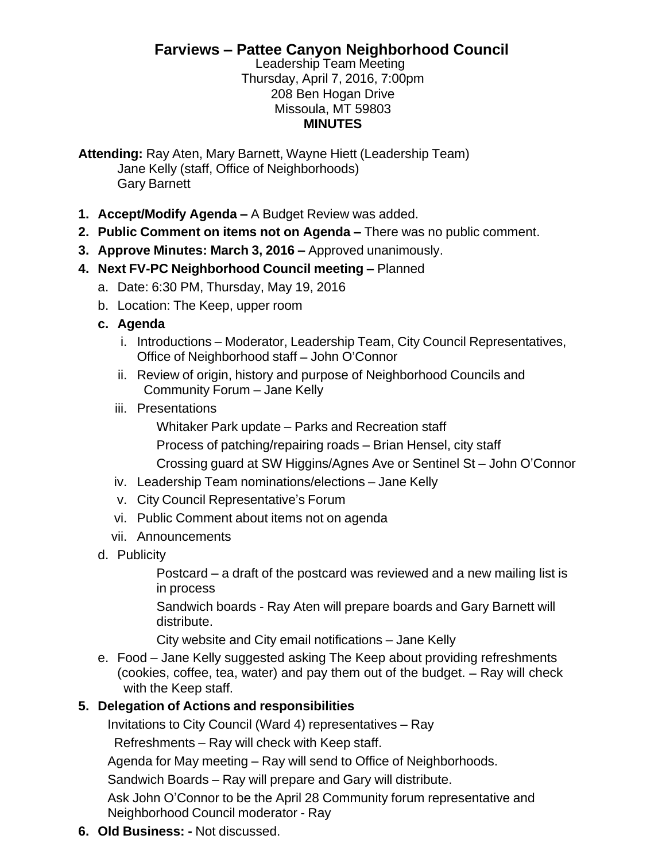## **Farviews – Pattee Canyon Neighborhood Council**

Leadership Team Meeting Thursday, April 7, 2016, 7:00pm 208 Ben Hogan Drive Missoula, MT 59803 **MINUTES**

**Attending:** Ray Aten, Mary Barnett, Wayne Hiett (Leadership Team) Jane Kelly (staff, Office of Neighborhoods) Gary Barnett

- **1. Accept/Modify Agenda –** A Budget Review was added.
- **2. Public Comment on items not on Agenda –** There was no public comment.
- **3. Approve Minutes: March 3, 2016 –** Approved unanimously.
- **4. Next FV-PC Neighborhood Council meeting –** Planned
	- a. Date: 6:30 PM, Thursday, May 19, 2016
	- b. Location: The Keep, upper room
	- **c. Agenda**
		- i. Introductions Moderator, Leadership Team, City Council Representatives, Office of Neighborhood staff – John O'Connor
		- ii. Review of origin, history and purpose of Neighborhood Councils and Community Forum – Jane Kelly
		- iii. Presentations

Whitaker Park update – Parks and Recreation staff

Process of patching/repairing roads – Brian Hensel, city staff

Crossing guard at SW Higgins/Agnes Ave or Sentinel St – John O'Connor

- iv. Leadership Team nominations/elections Jane Kelly
- v. City Council Representative's Forum
- vi. Public Comment about items not on agenda
- vii. Announcements
- d. Publicity

Postcard – a draft of the postcard was reviewed and a new mailing list is in process

Sandwich boards - Ray Aten will prepare boards and Gary Barnett will distribute.

City website and City email notifications – Jane Kelly

e. Food – Jane Kelly suggested asking The Keep about providing refreshments (cookies, coffee, tea, water) and pay them out of the budget. – Ray will check with the Keep staff.

## **5. Delegation of Actions and responsibilities**

Invitations to City Council (Ward 4) representatives – Ray

Refreshments – Ray will check with Keep staff.

Agenda for May meeting – Ray will send to Office of Neighborhoods.

Sandwich Boards – Ray will prepare and Gary will distribute.

Ask John O'Connor to be the April 28 Community forum representative and Neighborhood Council moderator - Ray

**6. Old Business: -** Not discussed.